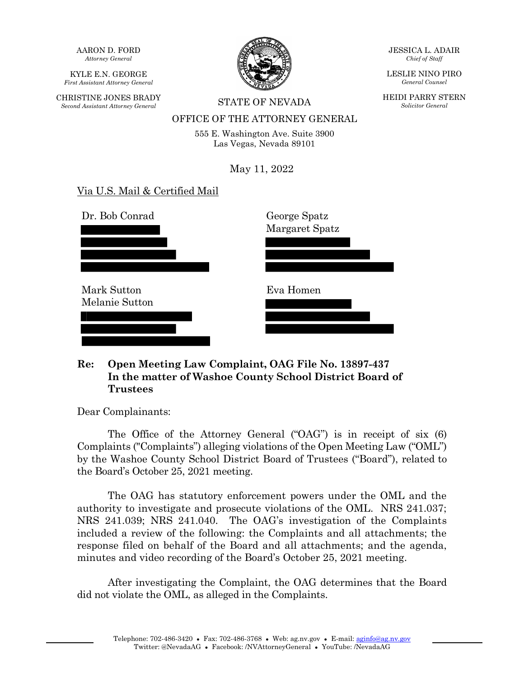AARON D. FORD *Attorney General*

KYLE E.N. GEORGE *First Assistant Attorney General*

CHRISTINE JONES BRADY *Second Assistant Attorney General* STATE OF NEVADA



JESSICA L. ADAIR *Chief of Staff*

LESLIE NINO PIRO *General Counsel*

HEIDI PARRY STERN *Solicitor General*

# OFFICE OF THE ATTORNEY GENERAL

555 E. Washington Ave. Suite 3900 Las Vegas, Nevada 89101

May 11, 2022

# Via U.S. Mail & Certified Mail

Dr. Bob Conrad Mark Sutton Melanie Sutton George Spatz Margaret Spatz Eva Homen

### **Re: Open Meeting Law Complaint, OAG File No. 13897-437 In the matter of Washoe County School District Board of Trustees**

Dear Complainants:

The Office of the Attorney General ("OAG") is in receipt of six (6) Complaints ("Complaints") alleging violations of the Open Meeting Law ("OML") by the Washoe County School District Board of Trustees ("Board"), related to the Board's October 25, 2021 meeting.

The OAG has statutory enforcement powers under the OML and the authority to investigate and prosecute violations of the OML. NRS 241.037; NRS 241.039; NRS 241.040. The OAG's investigation of the Complaints included a review of the following: the Complaints and all attachments; the response filed on behalf of the Board and all attachments; and the agenda, minutes and video recording of the Board's October 25, 2021 meeting.

After investigating the Complaint, the OAG determines that the Board did not violate the OML, as alleged in the Complaints.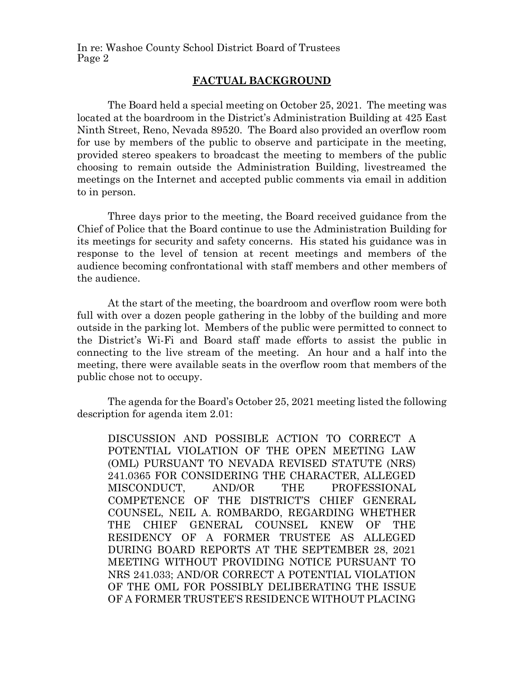#### **FACTUAL BACKGROUND**

The Board held a special meeting on October 25, 2021. The meeting was located at the boardroom in the District's Administration Building at 425 East Ninth Street, Reno, Nevada 89520. The Board also provided an overflow room for use by members of the public to observe and participate in the meeting, provided stereo speakers to broadcast the meeting to members of the public choosing to remain outside the Administration Building, livestreamed the meetings on the Internet and accepted public comments via email in addition to in person.

Three days prior to the meeting, the Board received guidance from the Chief of Police that the Board continue to use the Administration Building for its meetings for security and safety concerns. His stated his guidance was in response to the level of tension at recent meetings and members of the audience becoming confrontational with staff members and other members of the audience.

At the start of the meeting, the boardroom and overflow room were both full with over a dozen people gathering in the lobby of the building and more outside in the parking lot. Members of the public were permitted to connect to the District's Wi-Fi and Board staff made efforts to assist the public in connecting to the live stream of the meeting. An hour and a half into the meeting, there were available seats in the overflow room that members of the public chose not to occupy.

The agenda for the Board's October 25, 2021 meeting listed the following description for agenda item 2.01:

DISCUSSION AND POSSIBLE ACTION TO CORRECT A POTENTIAL VIOLATION OF THE OPEN MEETING LAW (OML) PURSUANT TO NEVADA REVISED STATUTE (NRS) 241.0365 FOR CONSIDERING THE CHARACTER, ALLEGED MISCONDUCT, AND/OR THE PROFESSIONAL COMPETENCE OF THE DISTRICT'S CHIEF GENERAL COUNSEL, NEIL A. ROMBARDO, REGARDING WHETHER THE CHIEF GENERAL COUNSEL KNEW OF THE RESIDENCY OF A FORMER TRUSTEE AS ALLEGED DURING BOARD REPORTS AT THE SEPTEMBER 28, 2021 MEETING WITHOUT PROVIDING NOTICE PURSUANT TO NRS 241.033; AND/OR CORRECT A POTENTIAL VIOLATION OF THE OML FOR POSSIBLY DELIBERATING THE ISSUE OF A FORMER TRUSTEE'S RESIDENCE WITHOUT PLACING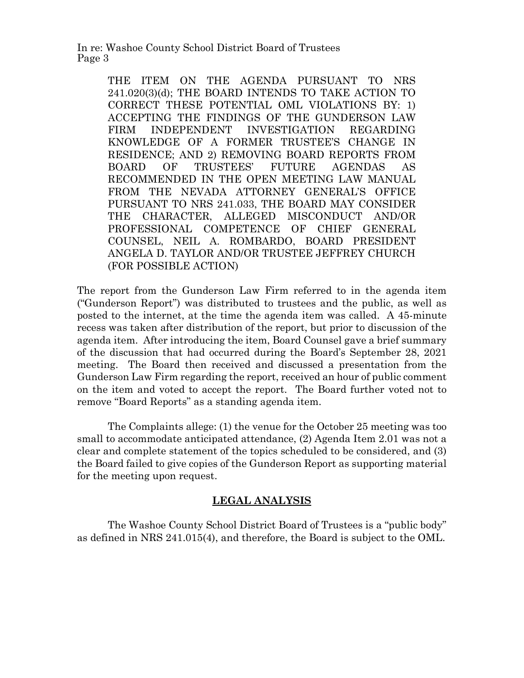> THE ITEM ON THE AGENDA PURSUANT TO NRS 241.020(3)(d); THE BOARD INTENDS TO TAKE ACTION TO CORRECT THESE POTENTIAL OML VIOLATIONS BY: 1) ACCEPTING THE FINDINGS OF THE GUNDERSON LAW FIRM INDEPENDENT INVESTIGATION REGARDING KNOWLEDGE OF A FORMER TRUSTEE'S CHANGE IN RESIDENCE; AND 2) REMOVING BOARD REPORTS FROM BOARD OF TRUSTEES' FUTURE AGENDAS AS RECOMMENDED IN THE OPEN MEETING LAW MANUAL FROM THE NEVADA ATTORNEY GENERAL'S OFFICE PURSUANT TO NRS 241.033, THE BOARD MAY CONSIDER THE CHARACTER, ALLEGED MISCONDUCT AND/OR PROFESSIONAL COMPETENCE OF CHIEF GENERAL COUNSEL, NEIL A. ROMBARDO, BOARD PRESIDENT ANGELA D. TAYLOR AND/OR TRUSTEE JEFFREY CHURCH (FOR POSSIBLE ACTION)

The report from the Gunderson Law Firm referred to in the agenda item ("Gunderson Report") was distributed to trustees and the public, as well as posted to the internet, at the time the agenda item was called. A 45-minute recess was taken after distribution of the report, but prior to discussion of the agenda item. After introducing the item, Board Counsel gave a brief summary of the discussion that had occurred during the Board's September 28, 2021 meeting. The Board then received and discussed a presentation from the Gunderson Law Firm regarding the report, received an hour of public comment on the item and voted to accept the report. The Board further voted not to remove "Board Reports" as a standing agenda item.

The Complaints allege: (1) the venue for the October 25 meeting was too small to accommodate anticipated attendance, (2) Agenda Item 2.01 was not a clear and complete statement of the topics scheduled to be considered, and (3) the Board failed to give copies of the Gunderson Report as supporting material for the meeting upon request.

## **LEGAL ANALYSIS**

The Washoe County School District Board of Trustees is a "public body" as defined in NRS 241.015(4), and therefore, the Board is subject to the OML.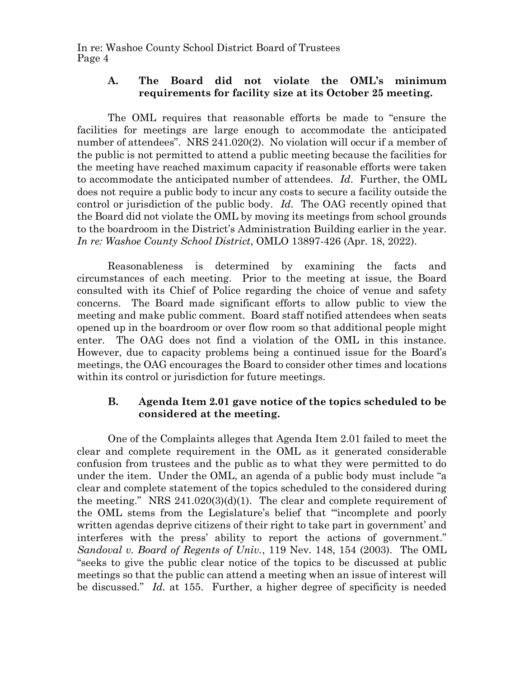### **A. The Board did not violate the OML's minimum requirements for facility size at its October 25 meeting.**

The OML requires that reasonable efforts be made to "ensure the facilities for meetings are large enough to accommodate the anticipated number of attendees". NRS 241.020(2). No violation will occur if a member of the public is not permitted to attend a public meeting because the facilities for the meeting have reached maximum capacity if reasonable efforts were taken to accommodate the anticipated number of attendees. *Id*. Further, the OML does not require a public body to incur any costs to secure a facility outside the control or jurisdiction of the public body. *Id.* The OAG recently opined that the Board did not violate the OML by moving its meetings from school grounds to the boardroom in the District's Administration Building earlier in the year. *In re: Washoe County School District*, OMLO 13897-426 (Apr. 18, 2022).

Reasonableness is determined by examining the facts and circumstances of each meeting. Prior to the meeting at issue, the Board consulted with its Chief of Police regarding the choice of venue and safety concerns. The Board made significant efforts to allow public to view the meeting and make public comment. Board staff notified attendees when seats opened up in the boardroom or over flow room so that additional people might enter. The OAG does not find a violation of the OML in this instance. However, due to capacity problems being a continued issue for the Board's meetings, the OAG encourages the Board to consider other times and locations within its control or jurisdiction for future meetings.

# **B. Agenda Item 2.01 gave notice of the topics scheduled to be considered at the meeting.**

One of the Complaints alleges that Agenda Item 2.01 failed to meet the clear and complete requirement in the OML as it generated considerable confusion from trustees and the public as to what they were permitted to do under the item. Under the OML, an agenda of a public body must include "a clear and complete statement of the topics scheduled to the considered during the meeting." NRS  $241.020(3)(d)(1)$ . The clear and complete requirement of the OML stems from the Legislature's belief that "'incomplete and poorly written agendas deprive citizens of their right to take part in government' and interferes with the press' ability to report the actions of government." *Sandoval v. Board of Regents of Univ.*, 119 Nev. 148, 154 (2003). The OML "seeks to give the public clear notice of the topics to be discussed at public meetings so that the public can attend a meeting when an issue of interest will be discussed." *Id.* at 155. Further, a higher degree of specificity is needed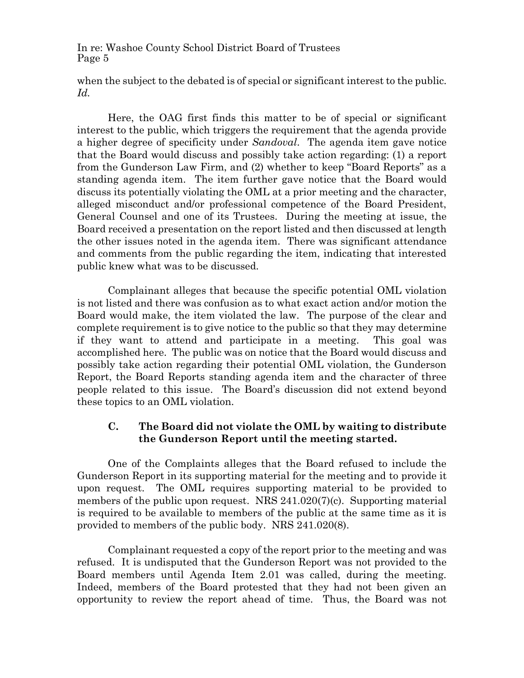when the subject to the debated is of special or significant interest to the public. *Id.*

Here, the OAG first finds this matter to be of special or significant interest to the public, which triggers the requirement that the agenda provide a higher degree of specificity under *Sandoval*. The agenda item gave notice that the Board would discuss and possibly take action regarding: (1) a report from the Gunderson Law Firm, and (2) whether to keep "Board Reports" as a standing agenda item. The item further gave notice that the Board would discuss its potentially violating the OML at a prior meeting and the character, alleged misconduct and/or professional competence of the Board President, General Counsel and one of its Trustees. During the meeting at issue, the Board received a presentation on the report listed and then discussed at length the other issues noted in the agenda item. There was significant attendance and comments from the public regarding the item, indicating that interested public knew what was to be discussed.

Complainant alleges that because the specific potential OML violation is not listed and there was confusion as to what exact action and/or motion the Board would make, the item violated the law. The purpose of the clear and complete requirement is to give notice to the public so that they may determine if they want to attend and participate in a meeting. This goal was accomplished here. The public was on notice that the Board would discuss and possibly take action regarding their potential OML violation, the Gunderson Report, the Board Reports standing agenda item and the character of three people related to this issue. The Board's discussion did not extend beyond these topics to an OML violation.

# **C. The Board did not violate the OML by waiting to distribute the Gunderson Report until the meeting started.**

One of the Complaints alleges that the Board refused to include the Gunderson Report in its supporting material for the meeting and to provide it upon request. The OML requires supporting material to be provided to members of the public upon request. NRS 241.020(7)(c). Supporting material is required to be available to members of the public at the same time as it is provided to members of the public body. NRS 241.020(8).

Complainant requested a copy of the report prior to the meeting and was refused. It is undisputed that the Gunderson Report was not provided to the Board members until Agenda Item 2.01 was called, during the meeting. Indeed, members of the Board protested that they had not been given an opportunity to review the report ahead of time. Thus, the Board was not